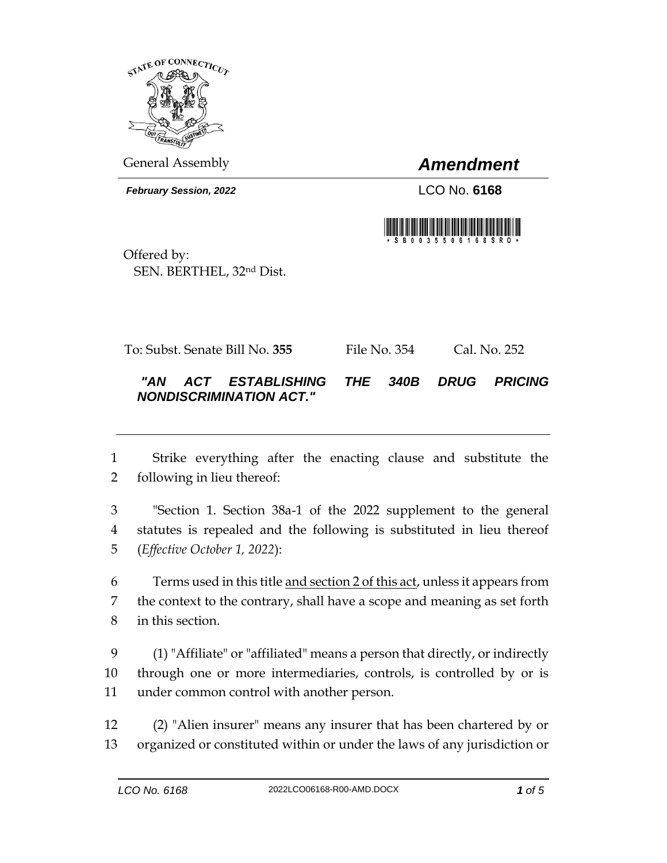

General Assembly *Amendment*

*February Session, 2022* LCO No. **6168**



Offered by: SEN. BERTHEL, 32nd Dist.

To: Subst. Senate Bill No. **355** File No. 354 Cal. No. 252

## *"AN ACT ESTABLISHING THE 340B DRUG PRICING NONDISCRIMINATION ACT."*

 Strike everything after the enacting clause and substitute the following in lieu thereof:

 "Section 1. Section 38a-1 of the 2022 supplement to the general statutes is repealed and the following is substituted in lieu thereof (*Effective October 1, 2022*):

 Terms used in this title and section 2 of this act, unless it appears from the context to the contrary, shall have a scope and meaning as set forth in this section.

 (1) "Affiliate" or "affiliated" means a person that directly, or indirectly through one or more intermediaries, controls, is controlled by or is under common control with another person.

 (2) "Alien insurer" means any insurer that has been chartered by or organized or constituted within or under the laws of any jurisdiction or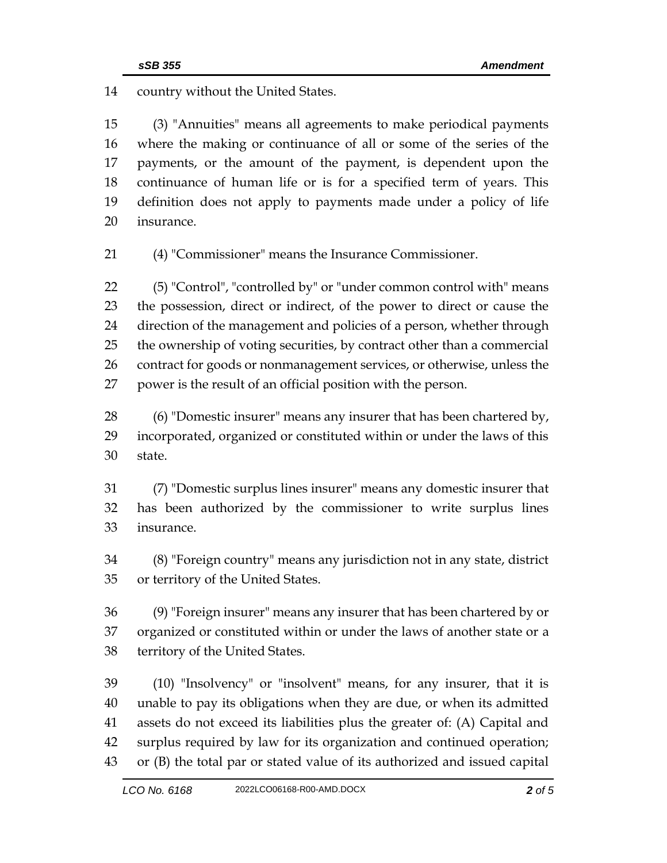country without the United States.

 (3) "Annuities" means all agreements to make periodical payments where the making or continuance of all or some of the series of the payments, or the amount of the payment, is dependent upon the continuance of human life or is for a specified term of years. This definition does not apply to payments made under a policy of life insurance.

(4) "Commissioner" means the Insurance Commissioner.

 (5) "Control", "controlled by" or "under common control with" means the possession, direct or indirect, of the power to direct or cause the direction of the management and policies of a person, whether through the ownership of voting securities, by contract other than a commercial contract for goods or nonmanagement services, or otherwise, unless the power is the result of an official position with the person.

 (6) "Domestic insurer" means any insurer that has been chartered by, incorporated, organized or constituted within or under the laws of this state.

 (7) "Domestic surplus lines insurer" means any domestic insurer that has been authorized by the commissioner to write surplus lines insurance.

 (8) "Foreign country" means any jurisdiction not in any state, district or territory of the United States.

 (9) "Foreign insurer" means any insurer that has been chartered by or organized or constituted within or under the laws of another state or a territory of the United States.

 (10) "Insolvency" or "insolvent" means, for any insurer, that it is unable to pay its obligations when they are due, or when its admitted assets do not exceed its liabilities plus the greater of: (A) Capital and surplus required by law for its organization and continued operation; or (B) the total par or stated value of its authorized and issued capital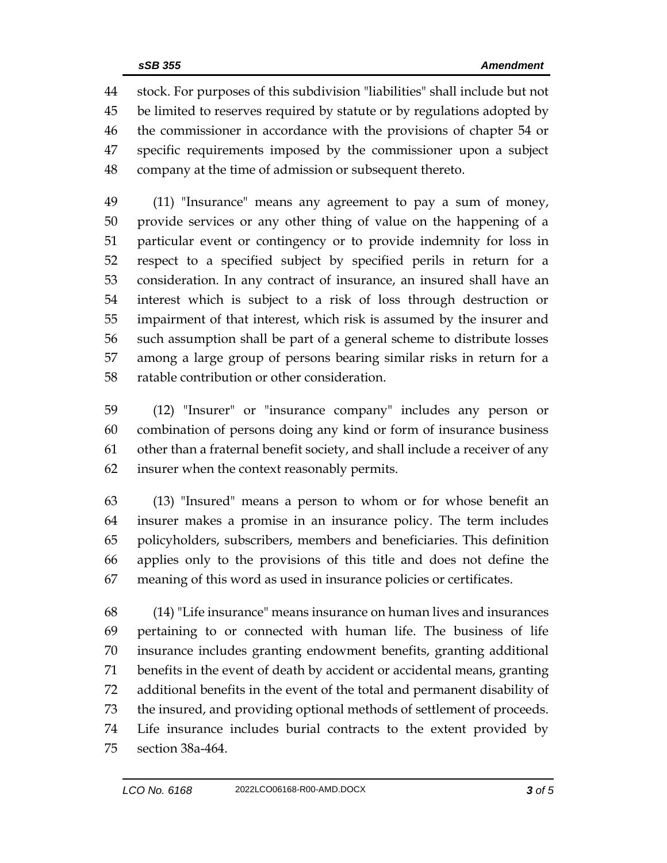stock. For purposes of this subdivision "liabilities" shall include but not be limited to reserves required by statute or by regulations adopted by the commissioner in accordance with the provisions of chapter 54 or specific requirements imposed by the commissioner upon a subject company at the time of admission or subsequent thereto.

 (11) "Insurance" means any agreement to pay a sum of money, provide services or any other thing of value on the happening of a particular event or contingency or to provide indemnity for loss in respect to a specified subject by specified perils in return for a consideration. In any contract of insurance, an insured shall have an interest which is subject to a risk of loss through destruction or impairment of that interest, which risk is assumed by the insurer and such assumption shall be part of a general scheme to distribute losses among a large group of persons bearing similar risks in return for a ratable contribution or other consideration.

 (12) "Insurer" or "insurance company" includes any person or combination of persons doing any kind or form of insurance business other than a fraternal benefit society, and shall include a receiver of any insurer when the context reasonably permits.

 (13) "Insured" means a person to whom or for whose benefit an insurer makes a promise in an insurance policy. The term includes policyholders, subscribers, members and beneficiaries. This definition applies only to the provisions of this title and does not define the meaning of this word as used in insurance policies or certificates.

 (14) "Life insurance" means insurance on human lives and insurances pertaining to or connected with human life. The business of life insurance includes granting endowment benefits, granting additional benefits in the event of death by accident or accidental means, granting additional benefits in the event of the total and permanent disability of the insured, and providing optional methods of settlement of proceeds. Life insurance includes burial contracts to the extent provided by section 38a-464.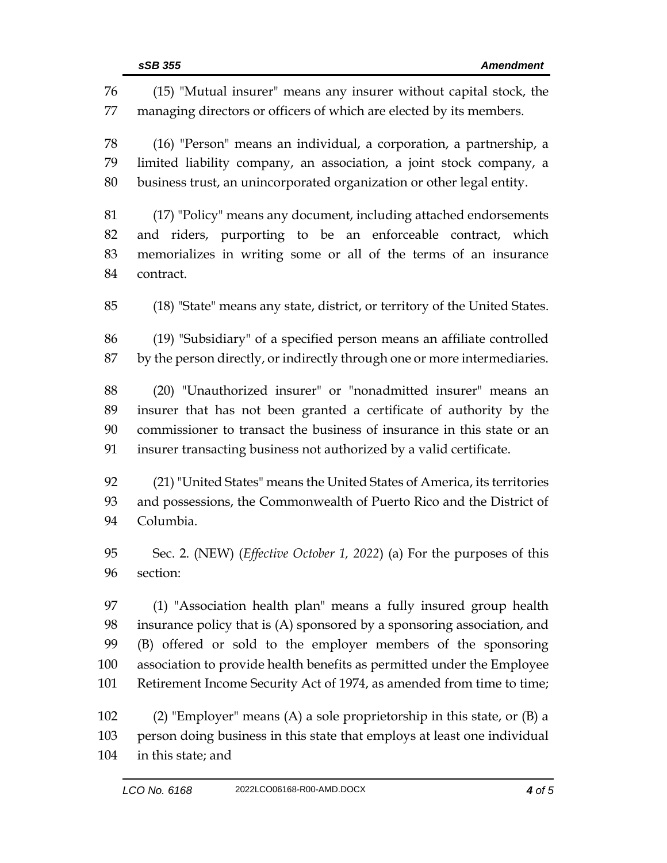| 76  | (15) "Mutual insurer" means any insurer without capital stock, the         |  |  |
|-----|----------------------------------------------------------------------------|--|--|
| 77  | managing directors or officers of which are elected by its members.        |  |  |
| 78  | (16) "Person" means an individual, a corporation, a partnership, a         |  |  |
| 79  | limited liability company, an association, a joint stock company, a        |  |  |
| 80  | business trust, an unincorporated organization or other legal entity.      |  |  |
| 81  | (17) "Policy" means any document, including attached endorsements          |  |  |
| 82  | and riders, purporting to be an enforceable contract, which                |  |  |
| 83  | memorializes in writing some or all of the terms of an insurance           |  |  |
| 84  | contract.                                                                  |  |  |
| 85  | (18) "State" means any state, district, or territory of the United States. |  |  |
| 86  | (19) "Subsidiary" of a specified person means an affiliate controlled      |  |  |
| 87  | by the person directly, or indirectly through one or more intermediaries.  |  |  |
| 88  | (20) "Unauthorized insurer" or "nonadmitted insurer" means an              |  |  |
| 89  | insurer that has not been granted a certificate of authority by the        |  |  |
| 90  | commissioner to transact the business of insurance in this state or an     |  |  |
| 91  | insurer transacting business not authorized by a valid certificate.        |  |  |
| 92  | (21) "United States" means the United States of America, its territories   |  |  |
| 93  | and possessions, the Commonwealth of Puerto Rico and the District of       |  |  |
| 94  | Columbia.                                                                  |  |  |
| 95  | Sec. 2. (NEW) (Effective October 1, 2022) (a) For the purposes of this     |  |  |
| 96  | section:                                                                   |  |  |
| 97  | (1) "Association health plan" means a fully insured group health           |  |  |
| 98  | insurance policy that is (A) sponsored by a sponsoring association, and    |  |  |
| 99  | (B) offered or sold to the employer members of the sponsoring              |  |  |
| 100 | association to provide health benefits as permitted under the Employee     |  |  |
| 101 | Retirement Income Security Act of 1974, as amended from time to time;      |  |  |
| 102 | (2) "Employer" means (A) a sole proprietorship in this state, or $(B)$ a   |  |  |
| 103 | person doing business in this state that employs at least one individual   |  |  |
| 104 | in this state; and                                                         |  |  |